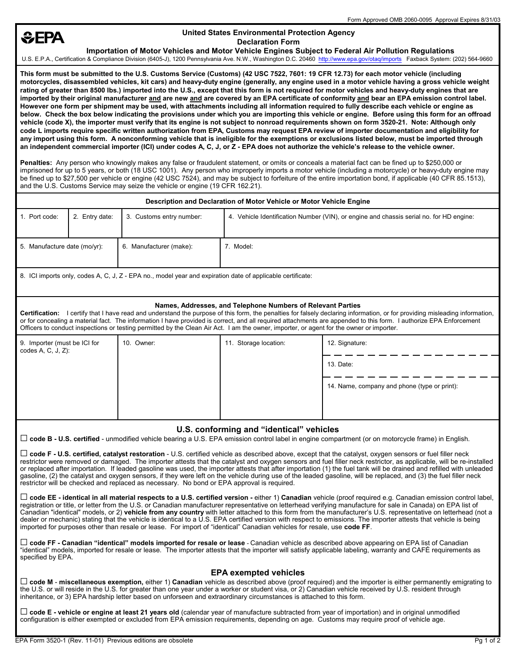# **SEPA**

# **United States Environmental Protection Agency Declaration Form**

 **Importation of Motor Vehicles and Motor Vehicle Engines Subject to Federal Air Pollution Regulations** U.S. E.P.A., Certification & Compliance Division (6405-J), 1200 Pennsylvania Ave. N.W., Washington D.C. 20460 http://www.epa.gov/otaq/imports Faxback System: (202) 564-9660

**This form must be submitted to the U.S. Customs Service (Customs) (42 USC 7522, 7601: 19 CFR 12.73) for each motor vehicle (including motorcycles, disassembled vehicles, kit cars) and heavy-duty engine (generally, any engine used in a motor vehicle having a gross vehicle weight rating of greater than 8500 Ibs.) imported into the U.S., except that this form is not required for motor vehicles and heavy-duty engines that are imported by their original manufacturer and are new and are covered by an EPA certificate of conformity and bear an EPA emission control label. However one form per shipment may be used, with attachments including all information required to fully describe each vehicle or engine as below. Check the box below indicating the provisions under which you are importing this vehicle or engine. Before using this form for an offroad vehicle (code X), the importer must verify that its engine is not subject to nonroad requirements shown on form 3520-21. Note: Although only code L imports require specific written authorization from EPA, Customs may request EPA review of importer documentation and eligibility for any import using this form. A nonconforming vehicle that is ineligible for the exemptions or exclusions listed below, must be imported through**  an independent commercial importer (ICI) under codes A, C, J, or Z - EPA does not authorize the vehicle's release to the vehicle owner.

**Penalties:** Any person who knowingly makes any false or fraudulent statement, or omits or conceals a material fact can be fined up to \$250,000 or imprisoned for up to 5 years, or both (18 USC 1001). Any person who improperly imports a motor vehicle (including a motorcycle) or heavy-duty engine may be fined up to \$27,500 per vehicle or engine (42 USC 7524), and may be subject to forfeiture of the entire importation bond, if applicable (40 CFR 85,1513). and the U.S. Customs Service may seize the vehicle or engine (19 CFR 162.21).

| Description and Declaration of Motor Vehicle or Motor Vehicle Engine |                |                          |                                                                                         |  |  |
|----------------------------------------------------------------------|----------------|--------------------------|-----------------------------------------------------------------------------------------|--|--|
| 1. Port code:                                                        | 2. Entry date: | 3. Customs entry number: | 4. Vehicle Identification Number (VIN), or engine and chassis serial no. for HD engine: |  |  |
| 5. Manufacture date (mo/yr):                                         |                | 6. Manufacturer (make):  | . Model:                                                                                |  |  |

8. ICI imports only, codes A, C, J, Z - EPA no., model year and expiration date of applicable certificate:

### **Names, Addresses, and Telephone Numbers of Relevant Parties**

**Certification:** I certify that I have read and understand the purpose of this form, the penalties for falsely declaring information, or for providing misleading information, or for concealing a material fact. The information I have provided is correct, and all required attachments are appended to this form. I authorize EPA Enforcement Officers to conduct inspections or testing permitted by the Clean Air Act. I am the owner, importer, or agent for the owner or importer.

| 9. Importer (must be ICI for<br>codes $A, C, J, Z$ : | 10. Owner: | 11. Storage location: | 12. Signature:                               |
|------------------------------------------------------|------------|-----------------------|----------------------------------------------|
|                                                      |            |                       | 13. Date:                                    |
|                                                      |            |                       | 14. Name, company and phone (type or print): |
|                                                      |            |                       |                                              |

## **U.S. conforming and "identical" vehicles**

G **code B - U.S. certified** - unmodified vehicle bearing a U.S. EPA emission control label in engine compartment (or on motorcycle frame) in English.

G **code F - U.S. certified, catalyst restoration** - U.S. certified vehicle as described above, except that the catalyst, oxygen sensors or fuel filler neck restrictor were removed or damaged. The importer attests that the catalyst and oxygen sensors and fuel filler neck restrictor, as applicable, will be re-installed or replaced after importation. If leaded gasoline was used, the importer attests that after importation (1) the fuel tank will be drained and refilled with unleaded gasoline, (2) the catalyst and oxygen sensors, if they were left on the vehicle during use of the leaded gasoline, will be replaced, and (3) the fuel filler neck restrictor will be checked and replaced as necessary. No bond or EPA approval is required.

G **code EE - identical in all material respects to a U.S. certified version -** either 1) **Canadian** vehicle (proof required e.g. Canadian emission control label, registration or title, or letter from the U.S. or Canadian manufacturer representative on letterhead verifying manufacture for sale in Canada) on EPA list of Canadian "identical" models, or 2) vehicle from any country with letter attached to this form from the manufacturer's U.S. representative on letterhead (not a dealer or mechanic) stating that the vehicle is identical to a U.S. EPA certified version with respect to emissions. The importer attests that vehicle is being imported for purposes other than resale or lease. For import of "identical" Canadian vehicles for resale, use code FF.

□ code FF - Canadian "identical" models imported for resale or lease - Canadian vehicle as described above appearing on EPA list of Canadian "identical" models, imported for resale or lease. The importer attests that the importer will satisfy applicable labeling, warranty and CAFÉ requirements as specified by EPA.

## **EPA exempted vehicles**

G **code M** - **miscellaneous exemption,** either 1) **Canadian** vehicle as described above (proof required) and the importer is either permanently emigrating to the U.S. or will reside in the U.S. for greater than one year under a worker or student visa, or 2) Canadian vehicle received by U.S. resident through inheritance, or 3) EPA hardship letter based on unforseen and extraordinary circumstances is attached to this form.

G **code E - vehicle or engine at least 21 years old** (calendar year of manufacture subtracted from year of importation) and in original unmodified configuration is either exempted or excluded from EPA emission requirements, depending on age. Customs may require proof of vehicle age.